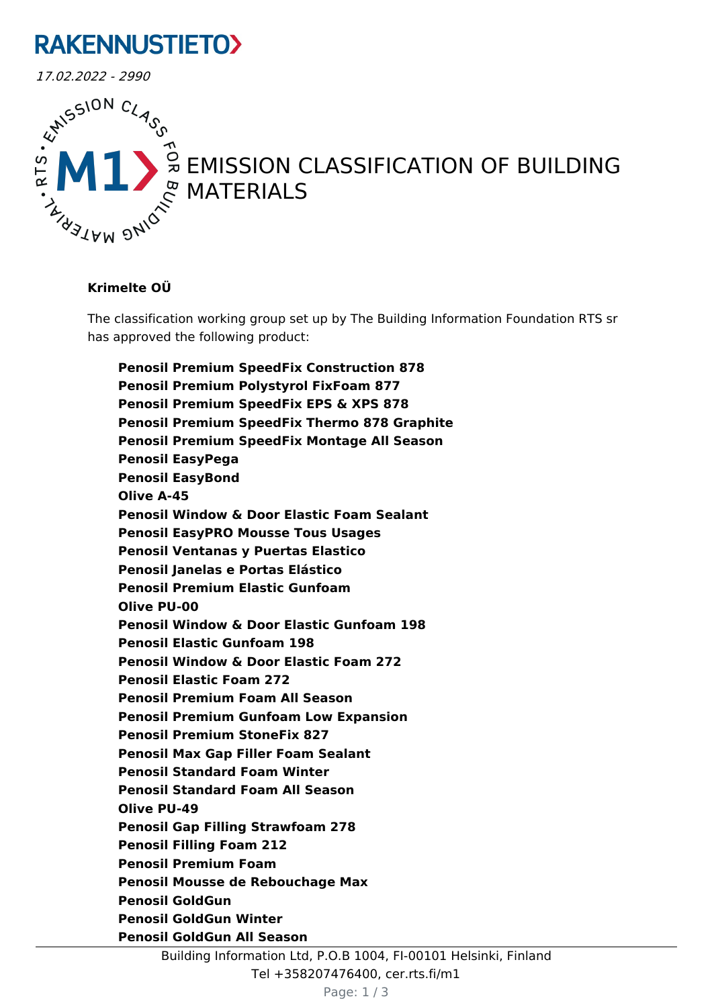## **RAKENNUSTIETO>**

17.02.2022 - 2990



## EMISSION CLASSIFICATION OF BUILDING MATERIALS

#### **Krimelte OÜ**

The classification working group set up by The Building Information Foundation RTS sr has approved the following product:

**Penosil Premium SpeedFix Construction 878 Penosil Premium Polystyrol FixFoam 877 Penosil Premium SpeedFix EPS & XPS 878 Penosil Premium SpeedFix Thermo 878 Graphite Penosil Premium SpeedFix Montage All Season Penosil EasyPega Penosil EasyBond Olive A-45 Penosil Window & Door Elastic Foam Sealant Penosil EasyPRO Mousse Tous Usages Penosil Ventanas y Puertas Elastico Penosil Janelas e Portas Elástico Penosil Premium Elastic Gunfoam Olive PU-00 Penosil Window & Door Elastic Gunfoam 198 Penosil Elastic Gunfoam 198 Penosil Window & Door Elastic Foam 272 Penosil Elastic Foam 272 Penosil Premium Foam All Season Penosil Premium Gunfoam Low Expansion Penosil Premium StoneFix 827 Penosil Max Gap Filler Foam Sealant Penosil Standard Foam Winter Penosil Standard Foam All Season Olive PU-49 Penosil Gap Filling Strawfoam 278 Penosil Filling Foam 212 Penosil Premium Foam Penosil Mousse de Rebouchage Max Penosil GoldGun Penosil GoldGun Winter Penosil GoldGun All Season**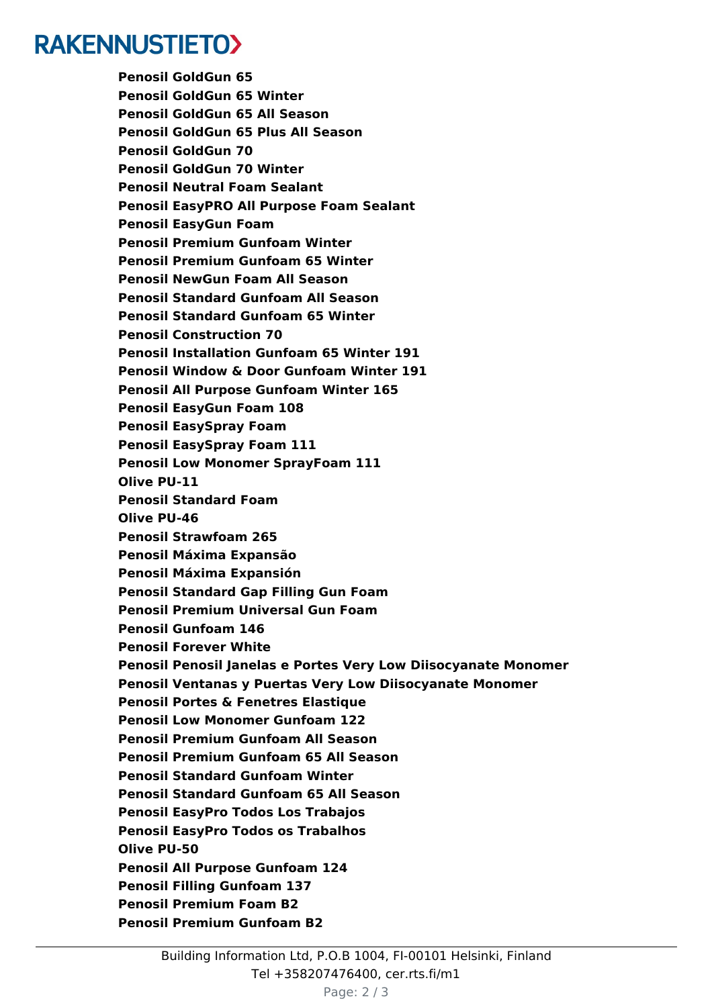# **RAKENNUSTIETO>**

**Penosil GoldGun 65 Penosil GoldGun 65 Winter Penosil GoldGun 65 All Season Penosil GoldGun 65 Plus All Season Penosil GoldGun 70 Penosil GoldGun 70 Winter Penosil Neutral Foam Sealant Penosil EasyPRO All Purpose Foam Sealant Penosil EasyGun Foam Penosil Premium Gunfoam Winter Penosil Premium Gunfoam 65 Winter Penosil NewGun Foam All Season Penosil Standard Gunfoam All Season Penosil Standard Gunfoam 65 Winter Penosil Construction 70 Penosil Installation Gunfoam 65 Winter 191 Penosil Window & Door Gunfoam Winter 191 Penosil All Purpose Gunfoam Winter 165 Penosil EasyGun Foam 108 Penosil EasySpray Foam Penosil EasySpray Foam 111 Penosil Low Monomer SprayFoam 111 Olive PU-11 Penosil Standard Foam Olive PU-46 Penosil Strawfoam 265 Penosil Máxima Expansão Penosil Máxima Expansión Penosil Standard Gap Filling Gun Foam Penosil Premium Universal Gun Foam Penosil Gunfoam 146 Penosil Forever White Penosil Penosil Janelas e Portes Very Low Diisocyanate Monomer Penosil Ventanas y Puertas Very Low Diisocyanate Monomer Penosil Portes & Fenetres Elastique Penosil Low Monomer Gunfoam 122 Penosil Premium Gunfoam All Season Penosil Premium Gunfoam 65 All Season Penosil Standard Gunfoam Winter Penosil Standard Gunfoam 65 All Season Penosil EasyPro Todos Los Trabajos Penosil EasyPro Todos os Trabalhos Olive PU-50 Penosil All Purpose Gunfoam 124 Penosil Filling Gunfoam 137 Penosil Premium Foam B2 Penosil Premium Gunfoam B2**